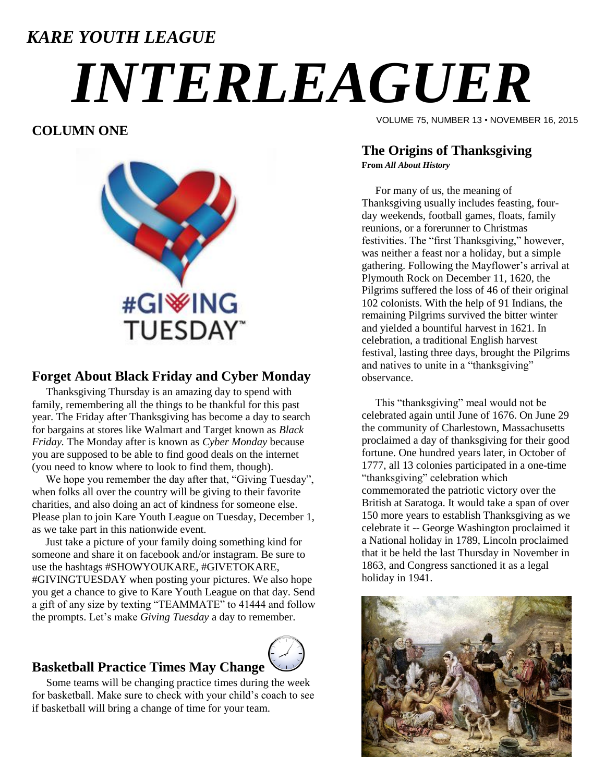# *KARE YOUTH LEAGUE INTERLEAGUER*

#### **COLUMN ONE**



#### **Forget About Black Friday and Cyber Monday**

Thanksgiving Thursday is an amazing day to spend with family, remembering all the things to be thankful for this past year. The Friday after Thanksgiving has become a day to search for bargains at stores like Walmart and Target known as *Black Friday.* The Monday after is known as *Cyber Monday* because you are supposed to be able to find good deals on the internet (you need to know where to look to find them, though).

We hope you remember the day after that, "Giving Tuesday", when folks all over the country will be giving to their favorite charities, and also doing an act of kindness for someone else. Please plan to join Kare Youth League on Tuesday, December 1, as we take part in this nationwide event.

 Just take a picture of your family doing something kind for someone and share it on facebook and/or instagram. Be sure to use the hashtags #SHOWYOUKARE, #GIVETOKARE, #GIVINGTUESDAY when posting your pictures. We also hope you get a chance to give to Kare Youth League on that day. Send a gift of any size by texting "TEAMMATE" to 41444 and follow the prompts. Let's make *Giving Tuesday* a day to remember.

#### **Basketball Practice Times May Change**



Some teams will be changing practice times during the week for basketball. Make sure to check with your child's coach to see if basketball will bring a change of time for your team.

VOLUME 75, NUMBER 13 • NOVEMBER 16, 2015

### **The Origins of Thanksgiving**

**From** *All About History*

 For many of us, the meaning of Thanksgiving usually includes feasting, fourday weekends, football games, floats, family reunions, or a forerunner to Christmas festivities. The "first Thanksgiving," however, was neither a feast nor a holiday, but a simple gathering. Following the Mayflower's arrival at Plymouth Rock on December 11, 1620, the Pilgrims suffered the loss of 46 of their original 102 colonists. With the help of 91 Indians, the remaining Pilgrims survived the bitter winter and yielded a bountiful harvest in 1621. In celebration, a traditional English harvest festival, lasting three days, brought the Pilgrims and natives to unite in a "thanksgiving" observance.

 This "thanksgiving" meal would not be celebrated again until June of 1676. On June 29 the community of Charlestown, Massachusetts proclaimed a day of thanksgiving for their good fortune. One hundred years later, in October of 1777, all 13 colonies participated in a one-time "thanksgiving" celebration which commemorated the patriotic victory over the British at Saratoga. It would take a span of over 150 more years to establish Thanksgiving as we celebrate it -- George Washington proclaimed it a National holiday in 1789, Lincoln proclaimed that it be held the last Thursday in November in 1863, and Congress sanctioned it as a legal holiday in 1941.